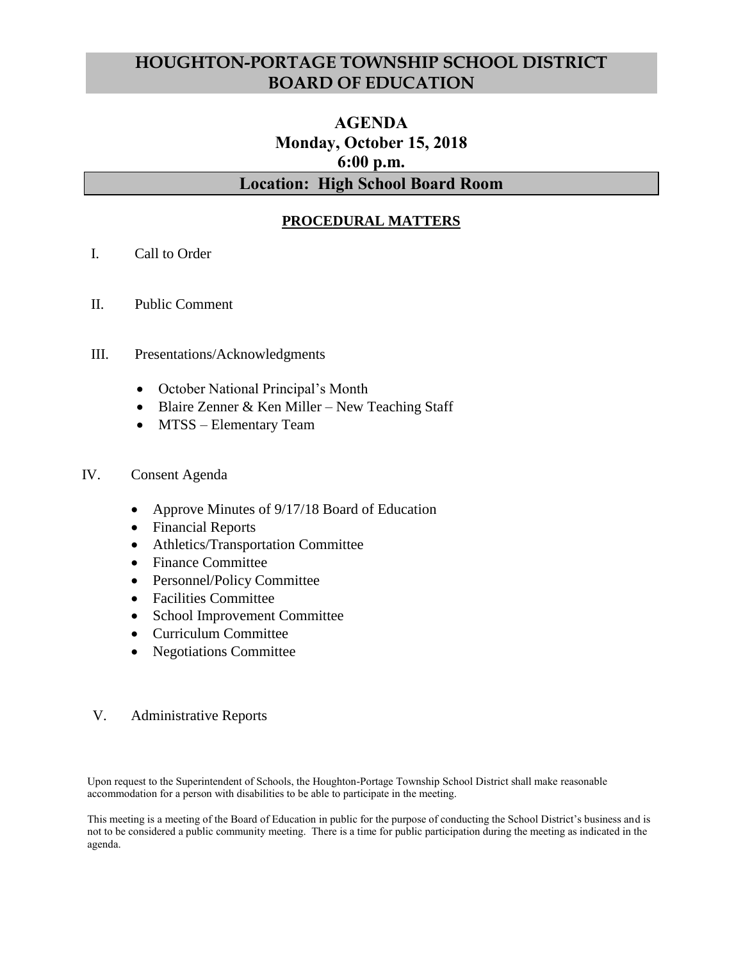# **HOUGHTON-PORTAGE TOWNSHIP SCHOOL DISTRICT BOARD OF EDUCATION**

# **AGENDA Monday, October 15, 2018 6:00 p.m. Location: High School Board Room**

# **PROCEDURAL MATTERS**

- I. Call to Order
- II. Public Comment

#### III. Presentations/Acknowledgments

- October National Principal's Month
- Blaire Zenner & Ken Miller New Teaching Staff
- MTSS Elementary Team

#### IV. Consent Agenda

- Approve Minutes of 9/17/18 Board of Education
- Financial Reports
- Athletics/Transportation Committee
- Finance Committee
- Personnel/Policy Committee
- Facilities Committee
- School Improvement Committee
- Curriculum Committee
- Negotiations Committee

#### V. Administrative Reports

Upon request to the Superintendent of Schools, the Houghton-Portage Township School District shall make reasonable accommodation for a person with disabilities to be able to participate in the meeting.

This meeting is a meeting of the Board of Education in public for the purpose of conducting the School District's business and is not to be considered a public community meeting. There is a time for public participation during the meeting as indicated in the agenda.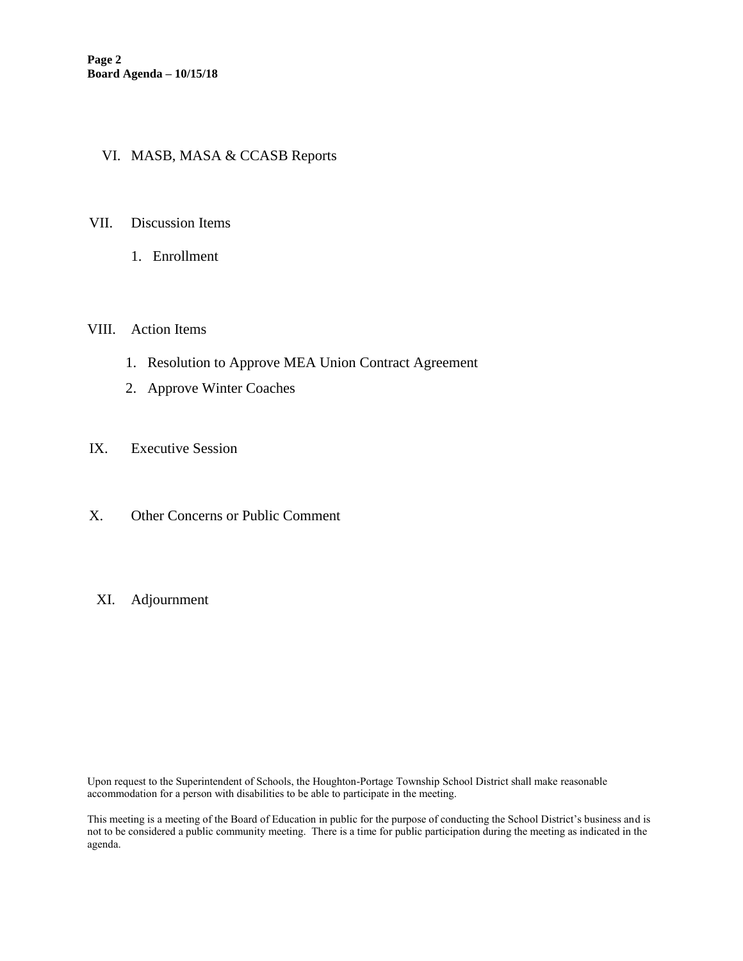#### VI. MASB, MASA & CCASB Reports

- VII. Discussion Items
	- 1. Enrollment

#### VIII. Action Items

- 1. Resolution to Approve MEA Union Contract Agreement
- 2. Approve Winter Coaches
- IX. Executive Session
- X. Other Concerns or Public Comment
- XI. Adjournment

Upon request to the Superintendent of Schools, the Houghton-Portage Township School District shall make reasonable accommodation for a person with disabilities to be able to participate in the meeting.

This meeting is a meeting of the Board of Education in public for the purpose of conducting the School District's business and is not to be considered a public community meeting. There is a time for public participation during the meeting as indicated in the agenda.